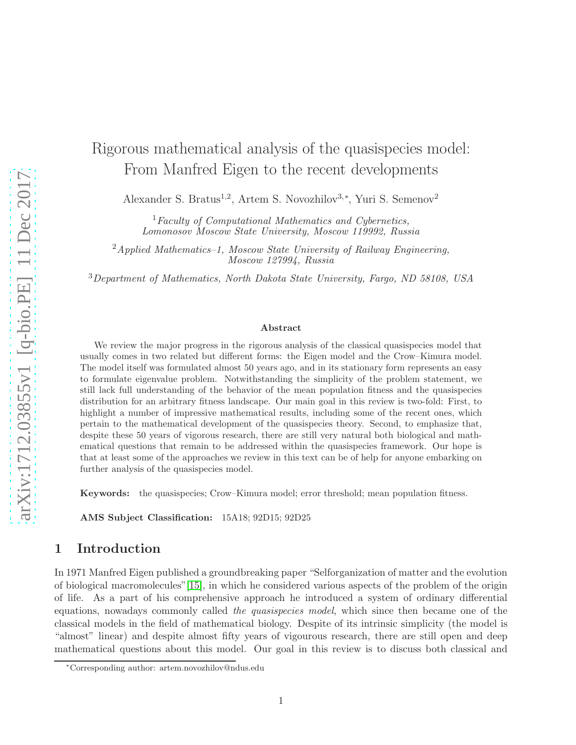# Rigorous mathematical analysis of the quasispecies model: From Manfred Eigen to the recent developments

Alexander S. Bratus<sup>1,2</sup>, Artem S. Novozhilov<sup>3,∗</sup>, Yuri S. Semenov<sup>2</sup>

<sup>1</sup>Faculty of Computational Mathematics and Cybernetics, Lomonosov Moscow State University, Moscow 119992, Russia

 $^{2}$ Applied Mathematics–1, Moscow State University of Railway Engineering, Moscow 127994, Russia

<sup>3</sup>Department of Mathematics, North Dakota State University, Fargo, ND 58108, USA

#### Abstract

We review the major progress in the rigorous analysis of the classical quasispecies model that usually comes in two related but different forms: the Eigen model and the Crow–Kimura model. The model itself was formulated almost 50 years ago, and in its stationary form represents an easy to formulate eigenvalue problem. Notwithstanding the simplicity of the problem statement, we still lack full understanding of the behavior of the mean population fitness and the quasispecies distribution for an arbitrary fitness landscape. Our main goal in this review is two-fold: First, to highlight a number of impressive mathematical results, including some of the recent ones, which pertain to the mathematical development of the quasispecies theory. Second, to emphasize that, despite these 50 years of vigorous research, there are still very natural both biological and mathematical questions that remain to be addressed within the quasispecies framework. Our hope is that at least some of the approaches we review in this text can be of help for anyone embarking on further analysis of the quasispecies model.

Keywords: the quasispecies; Crow–Kimura model; error threshold; mean population fitness.

AMS Subject Classification: 15A18; 92D15; 92D25

#### 1 Introduction

In 1971 Manfred Eigen published a groundbreaking paper "Selforganization of matter and the evolution of biological macromolecules"[\[15\]](#page-19-0), in which he considered various aspects of the problem of the origin of life. As a part of his comprehensive approach he introduced a system of ordinary differential equations, nowadays commonly called the quasispecies model, which since then became one of the classical models in the field of mathematical biology. Despite of its intrinsic simplicity (the model is "almost" linear) and despite almost fifty years of vigourous research, there are still open and deep mathematical questions about this model. Our goal in this review is to discuss both classical and

<sup>∗</sup>Corresponding author: artem.novozhilov@ndus.edu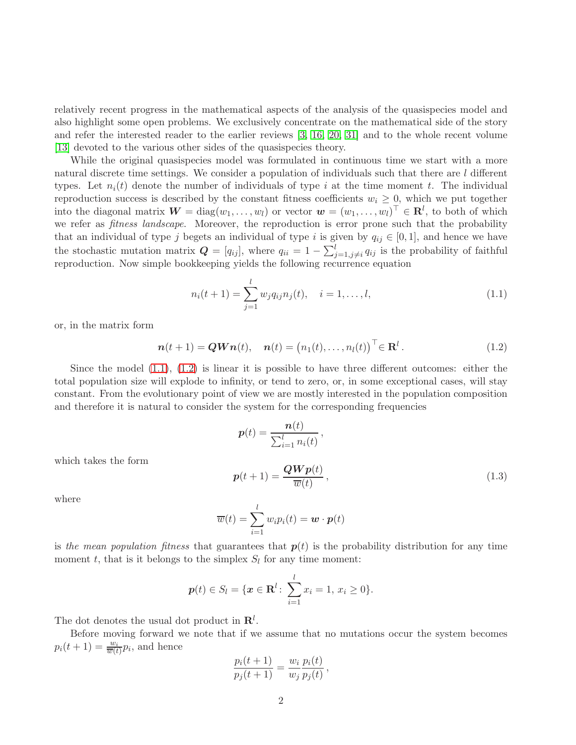relatively recent progress in the mathematical aspects of the analysis of the quasispecies model and also highlight some open problems. We exclusively concentrate on the mathematical side of the story and refer the interested reader to the earlier reviews [\[3,](#page-19-1) [16,](#page-19-2) [20,](#page-20-0) [31\]](#page-20-1) and to the whole recent volume [\[13\]](#page-19-3) devoted to the various other sides of the quasispecies theory.

While the original quasispecies model was formulated in continuous time we start with a more natural discrete time settings. We consider a population of individuals such that there are l different types. Let  $n_i(t)$  denote the number of individuals of type i at the time moment t. The individual reproduction success is described by the constant fitness coefficients  $w_i \geq 0$ , which we put together into the diagonal matrix  $\mathbf{W} = \text{diag}(w_1, \dots, w_l)$  or vector  $\mathbf{w} = (w_1, \dots, w_l)^\top \in \mathbf{R}^l$ , to both of which we refer as *fitness landscape*. Moreover, the reproduction is error prone such that the probability that an individual of type j begets an individual of type i is given by  $q_{ij} \in [0,1]$ , and hence we have the stochastic mutation matrix  $\mathbf{Q} = [q_{ij}]$ , where  $q_{ii} = 1 - \sum_{j=1,j\neq i}^{l} q_{ij}$  is the probability of faithful reproduction. Now simple bookkeeping yields the following recurrence equation

<span id="page-1-0"></span>
$$
n_i(t+1) = \sum_{j=1}^{l} w_j q_{ij} n_j(t), \quad i = 1, \dots, l,
$$
\n(1.1)

or, in the matrix form

<span id="page-1-1"></span>
$$
\boldsymbol{n}(t+1) = \boldsymbol{Q}\boldsymbol{W}\boldsymbol{n}(t), \quad \boldsymbol{n}(t) = (n_1(t), \dots, n_l(t))^{\top} \in \mathbf{R}^l. \tag{1.2}
$$

Since the model  $(1.1)$ ,  $(1.2)$  is linear it is possible to have three different outcomes: either the total population size will explode to infinity, or tend to zero, or, in some exceptional cases, will stay constant. From the evolutionary point of view we are mostly interested in the population composition and therefore it is natural to consider the system for the corresponding frequencies

$$
\mathbf{p}(t) = \frac{\mathbf{n}(t)}{\sum_{i=1}^{l} n_i(t)},
$$
\n
$$
\mathbf{p}(t+1) = \frac{\mathbf{Q} \mathbf{W} \mathbf{p}(t)}{\overline{w}(t)},
$$
\n
$$
t) = \sum_{i=1}^{l} w_i p_i(t) = \mathbf{w} \cdot \mathbf{p}(t)
$$
\n(1.3)

which takes the form

where

<span id="page-1-2"></span>
$$
\overline{w}(t) = \sum_{i=1}^{l} w_i p_i(t) = \boldsymbol{w} \cdot \boldsymbol{p}(t)
$$

is the mean population fitness that guarantees that  $p(t)$  is the probability distribution for any time moment t, that is it belongs to the simplex  $S_l$  for any time moment:

$$
\boldsymbol{p}(t) \in S_l = \{ \boldsymbol{x} \in \mathbf{R}^l : \sum_{i=1}^l x_i = 1, \, x_i \geq 0 \}.
$$

The dot denotes the usual dot product in  $\mathbf{R}^{l}$ .

Before moving forward we note that if we assume that no mutations occur the system becomes  $p_i(t+1) = \frac{w_i}{\overline{w}(t)} p_i$ , and hence

$$
\frac{p_i(t+1)}{p_j(t+1)} = \frac{w_i}{w_j} \frac{p_i(t)}{p_j(t)},
$$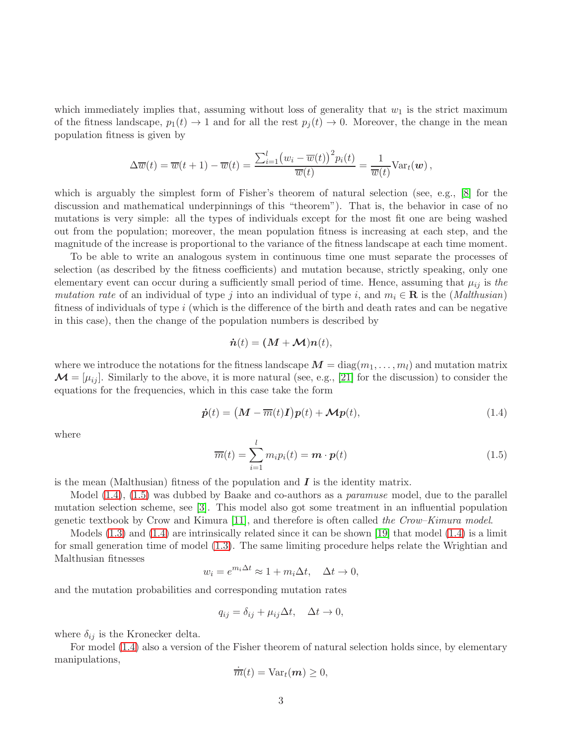which immediately implies that, assuming without loss of generality that  $w_1$  is the strict maximum of the fitness landscape,  $p_1(t) \to 1$  and for all the rest  $p_i(t) \to 0$ . Moreover, the change in the mean population fitness is given by

$$
\Delta \overline{w}(t) = \overline{w}(t+1) - \overline{w}(t) = \frac{\sum_{i=1}^{l} (w_i - \overline{w}(t))^{2} p_i(t)}{\overline{w}(t)} = \frac{1}{\overline{w}(t)} \text{Var}_t(\boldsymbol{w}),
$$

which is arguably the simplest form of Fisher's theorem of natural selection (see, e.g., [\[8\]](#page-19-4) for the discussion and mathematical underpinnings of this "theorem"). That is, the behavior in case of no mutations is very simple: all the types of individuals except for the most fit one are being washed out from the population; moreover, the mean population fitness is increasing at each step, and the magnitude of the increase is proportional to the variance of the fitness landscape at each time moment.

To be able to write an analogous system in continuous time one must separate the processes of selection (as described by the fitness coefficients) and mutation because, strictly speaking, only one elementary event can occur during a sufficiently small period of time. Hence, assuming that  $\mu_{ij}$  is the mutation rate of an individual of type j into an individual of type i, and  $m_i \in \mathbf{R}$  is the (*Malthusian*) fitness of individuals of type  $i$  (which is the difference of the birth and death rates and can be negative in this case), then the change of the population numbers is described by

$$
\dot{\boldsymbol{n}}(t) = (\boldsymbol{M} + \boldsymbol{\mathcal{M}})\boldsymbol{n}(t),
$$

where we introduce the notations for the fitness landscape  $M = \text{diag}(m_1, \ldots, m_l)$  and mutation matrix  $\mathcal{M} = [\mu_{ij}]$ . Similarly to the above, it is more natural (see, e.g., [\[21\]](#page-20-2) for the discussion) to consider the equations for the frequencies, which in this case take the form

<span id="page-2-0"></span>
$$
\dot{\mathbf{p}}(t) = \left(\mathbf{M} - \overline{m}(t)\mathbf{I}\right)\mathbf{p}(t) + \mathbf{\mathcal{M}}\mathbf{p}(t),\tag{1.4}
$$

where

<span id="page-2-1"></span>
$$
\overline{m}(t) = \sum_{i=1}^{l} m_i p_i(t) = \boldsymbol{m} \cdot \boldsymbol{p}(t)
$$
\n(1.5)

is the mean (Malthusian) fitness of the population and  $\bm{I}$  is the identity matrix.

Model  $(1.4)$ ,  $(1.5)$  was dubbed by Baake and co-authors as a *paramuse* model, due to the parallel mutation selection scheme, see [\[3\]](#page-19-1). This model also got some treatment in an influential population genetic textbook by Crow and Kimura [\[11\]](#page-19-5), and therefore is often called the Crow–Kimura model.

Models [\(1.3\)](#page-1-2) and [\(1.4\)](#page-2-0) are intrinsically related since it can be shown [\[19\]](#page-20-3) that model [\(1.4\)](#page-2-0) is a limit for small generation time of model [\(1.3\)](#page-1-2). The same limiting procedure helps relate the Wrightian and Malthusian fitnesses

$$
w_i = e^{m_i \Delta t} \approx 1 + m_i \Delta t, \quad \Delta t \to 0,
$$

and the mutation probabilities and corresponding mutation rates

$$
q_{ij} = \delta_{ij} + \mu_{ij}\Delta t, \quad \Delta t \to 0,
$$

where  $\delta_{ij}$  is the Kronecker delta.

For model [\(1.4\)](#page-2-0) also a version of the Fisher theorem of natural selection holds since, by elementary manipulations,

$$
\dot{\overline{m}}(t) = \text{Var}_t(\boldsymbol{m}) \geq 0,
$$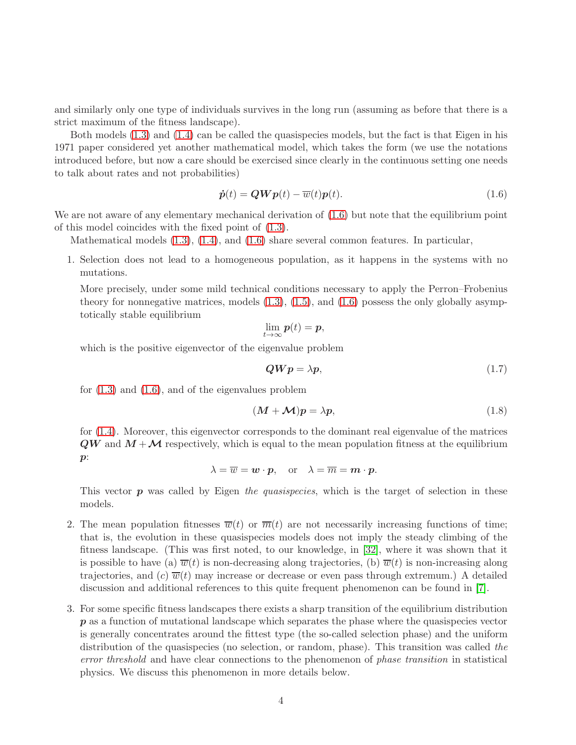and similarly only one type of individuals survives in the long run (assuming as before that there is a strict maximum of the fitness landscape).

Both models [\(1.3\)](#page-1-2) and [\(1.4\)](#page-2-0) can be called the quasispecies models, but the fact is that Eigen in his 1971 paper considered yet another mathematical model, which takes the form (we use the notations introduced before, but now a care should be exercised since clearly in the continuous setting one needs to talk about rates and not probabilities)

<span id="page-3-0"></span>
$$
\dot{\boldsymbol{p}}(t) = \boldsymbol{Q}\boldsymbol{W}\boldsymbol{p}(t) - \overline{w}(t)\boldsymbol{p}(t). \tag{1.6}
$$

We are not aware of any elementary mechanical derivation of  $(1.6)$  but note that the equilibrium point of this model coincides with the fixed point of [\(1.3\)](#page-1-2).

Mathematical models [\(1.3\)](#page-1-2), [\(1.4\)](#page-2-0), and [\(1.6\)](#page-3-0) share several common features. In particular,

1. Selection does not lead to a homogeneous population, as it happens in the systems with no mutations.

More precisely, under some mild technical conditions necessary to apply the Perron–Frobenius theory for nonnegative matrices, models  $(1.3)$ ,  $(1.5)$ , and  $(1.6)$  possess the only globally asymptotically stable equilibrium

$$
\lim_{t\to\infty}\bm{p}(t)=\bm{p},
$$

which is the positive eigenvector of the eigenvalue problem

<span id="page-3-1"></span>
$$
QWp = \lambda p,\tag{1.7}
$$

for  $(1.3)$  and  $(1.6)$ , and of the eigenvalues problem

<span id="page-3-2"></span>
$$
(\mathbf{M} + \mathbf{M})\mathbf{p} = \lambda \mathbf{p},\tag{1.8}
$$

for [\(1.4\)](#page-2-0). Moreover, this eigenvector corresponds to the dominant real eigenvalue of the matrices  $QW$  and  $M + M$  respectively, which is equal to the mean population fitness at the equilibrium  $p$ :

$$
\lambda = \overline{w} = \boldsymbol{w} \cdot \boldsymbol{p}
$$
, or  $\lambda = \overline{m} = \boldsymbol{m} \cdot \boldsymbol{p}$ .

This vector  $\boldsymbol{p}$  was called by Eigen the quasispecies, which is the target of selection in these models.

- 2. The mean population fitnesses  $\overline{w}(t)$  or  $\overline{m}(t)$  are not necessarily increasing functions of time; that is, the evolution in these quasispecies models does not imply the steady climbing of the fitness landscape. (This was first noted, to our knowledge, in [\[32\]](#page-20-4), where it was shown that it is possible to have (a)  $\overline{w}(t)$  is non-decreasing along trajectories, (b)  $\overline{w}(t)$  is non-increasing along trajectories, and (c)  $\overline{w}(t)$  may increase or decrease or even pass through extremum.) A detailed discussion and additional references to this quite frequent phenomenon can be found in [\[7\]](#page-19-6).
- 3. For some specific fitness landscapes there exists a sharp transition of the equilibrium distribution  $p$  as a function of mutational landscape which separates the phase where the quasispecies vector is generally concentrates around the fittest type (the so-called selection phase) and the uniform distribution of the quasispecies (no selection, or random, phase). This transition was called the error threshold and have clear connections to the phenomenon of phase transition in statistical physics. We discuss this phenomenon in more details below.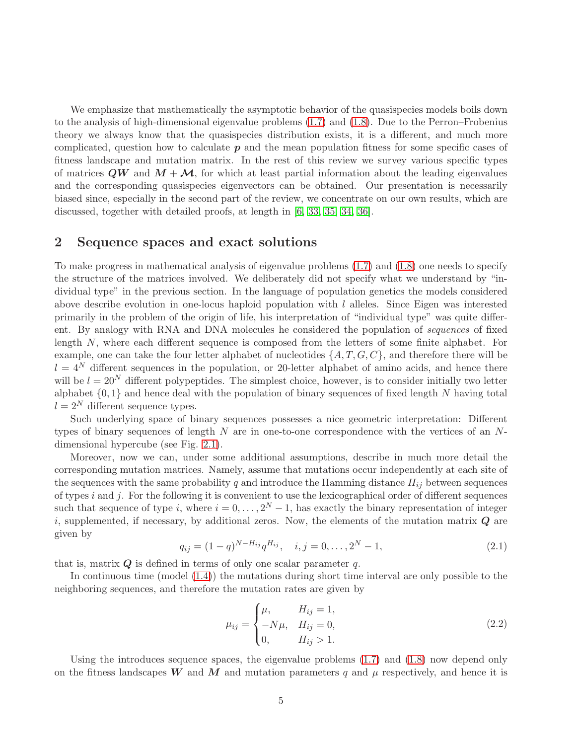We emphasize that mathematically the asymptotic behavior of the quasispecies models boils down to the analysis of high-dimensional eigenvalue problems [\(1.7\)](#page-3-1) and [\(1.8\)](#page-3-2). Due to the Perron–Frobenius theory we always know that the quasispecies distribution exists, it is a different, and much more complicated, question how to calculate  $p$  and the mean population fitness for some specific cases of fitness landscape and mutation matrix. In the rest of this review we survey various specific types of matrices  $QW$  and  $M + M$ , for which at least partial information about the leading eigenvalues and the corresponding quasispecies eigenvectors can be obtained. Our presentation is necessarily biased since, especially in the second part of the review, we concentrate on our own results, which are discussed, together with detailed proofs, at length in [\[6,](#page-19-7) [33,](#page-20-5) [35,](#page-21-0) [34,](#page-21-1) [36\]](#page-21-2).

#### 2 Sequence spaces and exact solutions

To make progress in mathematical analysis of eigenvalue problems [\(1.7\)](#page-3-1) and [\(1.8\)](#page-3-2) one needs to specify the structure of the matrices involved. We deliberately did not specify what we understand by "individual type" in the previous section. In the language of population genetics the models considered above describe evolution in one-locus haploid population with  $l$  alleles. Since Eigen was interested primarily in the problem of the origin of life, his interpretation of "individual type" was quite different. By analogy with RNA and DNA molecules he considered the population of *sequences* of fixed length N, where each different sequence is composed from the letters of some finite alphabet. For example, one can take the four letter alphabet of nucleotides  $\{A, T, G, C\}$ , and therefore there will be  $l = 4^N$  different sequences in the population, or 20-letter alphabet of amino acids, and hence there will be  $l = 20<sup>N</sup>$  different polypeptides. The simplest choice, however, is to consider initially two letter alphabet  $\{0, 1\}$  and hence deal with the population of binary sequences of fixed length N having total  $l = 2^N$  different sequence types.

Such underlying space of binary sequences possesses a nice geometric interpretation: Different types of binary sequences of length  $N$  are in one-to-one correspondence with the vertices of an  $N$ dimensional hypercube (see Fig. [2.1\)](#page-5-0).

Moreover, now we can, under some additional assumptions, describe in much more detail the corresponding mutation matrices. Namely, assume that mutations occur independently at each site of the sequences with the same probability q and introduce the Hamming distance  $H_{ij}$  between sequences of types  $i$  and  $j$ . For the following it is convenient to use the lexicographical order of different sequences such that sequence of type i, where  $i = 0, \ldots, 2^N - 1$ , has exactly the binary representation of integer i, supplemented, if necessary, by additional zeros. Now, the elements of the mutation matrix  $\bf{Q}$  are given by

<span id="page-4-0"></span>
$$
q_{ij} = (1-q)^{N-H_{ij}} q^{H_{ij}}, \quad i, j = 0, \dots, 2^N - 1,
$$
\n(2.1)

that is, matrix  $Q$  is defined in terms of only one scalar parameter q.

In continuous time (model [\(1.4\)](#page-2-0)) the mutations during short time interval are only possible to the neighboring sequences, and therefore the mutation rates are given by

<span id="page-4-1"></span>
$$
\mu_{ij} = \begin{cases} \mu, & H_{ij} = 1, \\ -N\mu, & H_{ij} = 0, \\ 0, & H_{ij} > 1. \end{cases}
$$
\n(2.2)

Using the introduces sequence spaces, the eigenvalue problems [\(1.7\)](#page-3-1) and [\(1.8\)](#page-3-2) now depend only on the fitness landscapes W and M and mutation parameters q and  $\mu$  respectively, and hence it is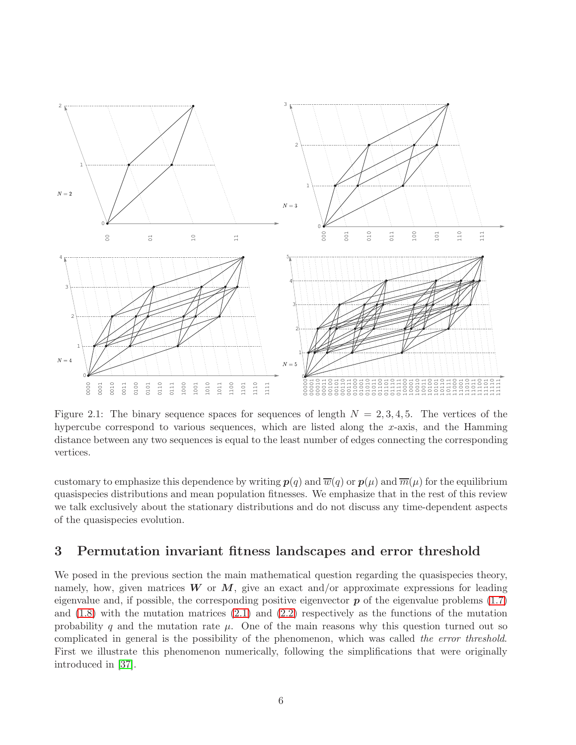

<span id="page-5-0"></span>Figure 2.1: The binary sequence spaces for sequences of length  $N = 2, 3, 4, 5$ . The vertices of the hypercube correspond to various sequences, which are listed along the x-axis, and the Hamming distance between any two sequences is equal to the least number of edges connecting the corresponding vertices.

customary to emphasize this dependence by writing  $p(q)$  and  $\overline{w}(q)$  or  $p(\mu)$  and  $\overline{m}(\mu)$  for the equilibrium quasispecies distributions and mean population fitnesses. We emphasize that in the rest of this review we talk exclusively about the stationary distributions and do not discuss any time-dependent aspects of the quasispecies evolution.

#### 3 Permutation invariant fitness landscapes and error threshold

We posed in the previous section the main mathematical question regarding the quasispecies theory, namely, how, given matrices  $W$  or  $M$ , give an exact and/or approximate expressions for leading eigenvalue and, if possible, the corresponding positive eigenvector  $p$  of the eigenvalue problems  $(1.7)$ and  $(1.8)$  with the mutation matrices  $(2.1)$  and  $(2.2)$  respectively as the functions of the mutation probability q and the mutation rate  $\mu$ . One of the main reasons why this question turned out so complicated in general is the possibility of the phenomenon, which was called the error threshold. First we illustrate this phenomenon numerically, following the simplifications that were originally introduced in [\[37\]](#page-21-3).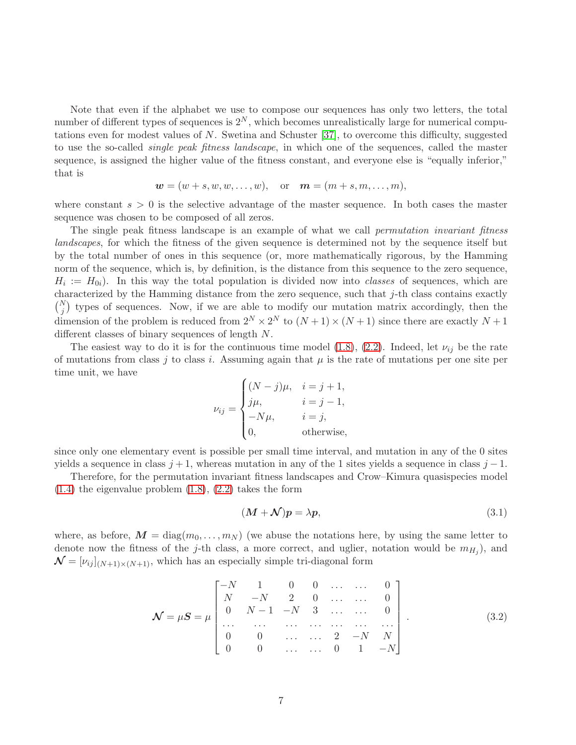Note that even if the alphabet we use to compose our sequences has only two letters, the total number of different types of sequences is  $2^N$ , which becomes unrealistically large for numerical computations even for modest values of  $N$ . Swetina and Schuster [\[37\]](#page-21-3), to overcome this difficulty, suggested to use the so-called single peak fitness landscape, in which one of the sequences, called the master sequence, is assigned the higher value of the fitness constant, and everyone else is "equally inferior," that is

$$
\mathbf{w}=(w+s,w,w,\ldots,w),\quad\text{or}\quad\mathbf{m}=(m+s,m,\ldots,m),
$$

where constant  $s > 0$  is the selective advantage of the master sequence. In both cases the master sequence was chosen to be composed of all zeros.

The single peak fitness landscape is an example of what we call *permutation invariant fitness* landscapes, for which the fitness of the given sequence is determined not by the sequence itself but by the total number of ones in this sequence (or, more mathematically rigorous, by the Hamming norm of the sequence, which is, by definition, is the distance from this sequence to the zero sequence,  $H_i := H_{0i}$ ). In this way the total population is divided now into *classes* of sequences, which are characterized by the Hamming distance from the zero sequence, such that j-th class contains exactly  $\binom{N}{j}$  types of sequences. Now, if we are able to modify our mutation matrix accordingly, then the dimension of the problem is reduced from  $2^N \times 2^N$  to  $(N+1) \times (N+1)$  since there are exactly  $N+1$ different classes of binary sequences of length N.

The easiest way to do it is for the continuous time model [\(1.8\)](#page-3-2), [\(2.2\)](#page-4-1). Indeed, let  $\nu_{ij}$  be the rate of mutations from class j to class i. Assuming again that  $\mu$  is the rate of mutations per one site per time unit, we have

$$
\nu_{ij} = \begin{cases}\n(N-j)\mu, & i = j+1, \\
j\mu, & i = j-1, \\
-N\mu, & i = j, \\
0, & \text{otherwise,} \n\end{cases}
$$

since only one elementary event is possible per small time interval, and mutation in any of the 0 sites yields a sequence in class  $j + 1$ , whereas mutation in any of the 1 sites yields a sequence in class  $j - 1$ .

Therefore, for the permutation invariant fitness landscapes and Crow–Kimura quasispecies model  $(1.4)$  the eigenvalue problem  $(1.8)$ ,  $(2.2)$  takes the form

<span id="page-6-0"></span>
$$
(M + \mathcal{N})p = \lambda p,\tag{3.1}
$$

where, as before,  $\mathbf{M} = \text{diag}(m_0, \ldots, m_N)$  (we abuse the notations here, by using the same letter to denote now the fitness of the j-th class, a more correct, and uglier, notation would be  $m_{H_j}$ ), and  $\mathcal{N} = [\nu_{ij}]_{(N+1)\times(N+1)}$ , which has an especially simple tri-diagonal form

<span id="page-6-1"></span>
$$
\mathcal{N} = \mu \mathcal{S} = \mu \begin{bmatrix} -N & 1 & 0 & 0 & \dots & \dots & 0 \\ N & -N & 2 & 0 & \dots & \dots & 0 \\ 0 & N-1 & -N & 3 & \dots & \dots & 0 \\ \dots & \dots & \dots & \dots & \dots & \dots & \dots \\ 0 & 0 & \dots & \dots & 2 & -N & N \\ 0 & 0 & \dots & \dots & 0 & 1 & -N \end{bmatrix} .
$$
 (3.2)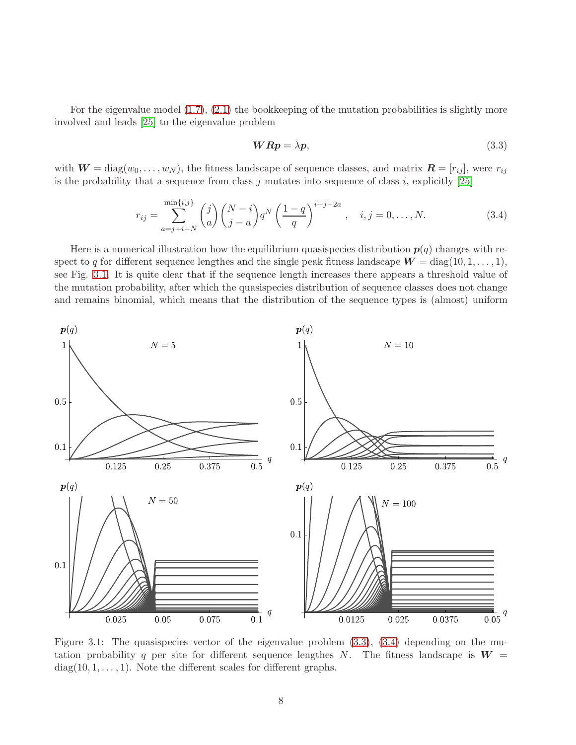For the eigenvalue model  $(1.7), (2.1)$  $(1.7), (2.1)$  the bookkeeping of the mutation probabilities is slightly more involved and leads [\[25\]](#page-20-6) to the eigenvalue problem

<span id="page-7-1"></span>
$$
WRp = \lambda p,\tag{3.3}
$$

with  $W = diag(w_0, \ldots, w_N)$ , the fitness landscape of sequence classes, and matrix  $\mathbf{R} = [r_{ij}]$ , were  $r_{ij}$ is the probability that a sequence from class  $j$  mutates into sequence of class  $i$ , explicitly [\[25\]](#page-20-6)

<span id="page-7-2"></span>
$$
r_{ij} = \sum_{a=j+i-N}^{\min\{i,j\}} \binom{j}{a} \binom{N-i}{j-a} q^N \left(\frac{1-q}{q}\right)^{i+j-2a}, \quad i, j = 0, \dots, N. \tag{3.4}
$$

Here is a numerical illustration how the equilibrium quasispecies distribution  $p(q)$  changes with respect to q for different sequence lengthes and the single peak fitness landscape  $W = \text{diag}(10, 1, \ldots, 1)$ , see Fig. [3.1.](#page-7-0) It is quite clear that if the sequence length increases there appears a threshold value of the mutation probability, after which the quasispecies distribution of sequence classes does not change and remains binomial, which means that the distribution of the sequence types is (almost) uniform



<span id="page-7-0"></span>Figure 3.1: The quasispecies vector of the eigenvalue problem  $(3.3)$ ,  $(3.4)$  depending on the mutation probability q per site for different sequence lengthes N. The fitness landscape is  $W =$  $diag(10, 1, \ldots, 1)$ . Note the different scales for different graphs.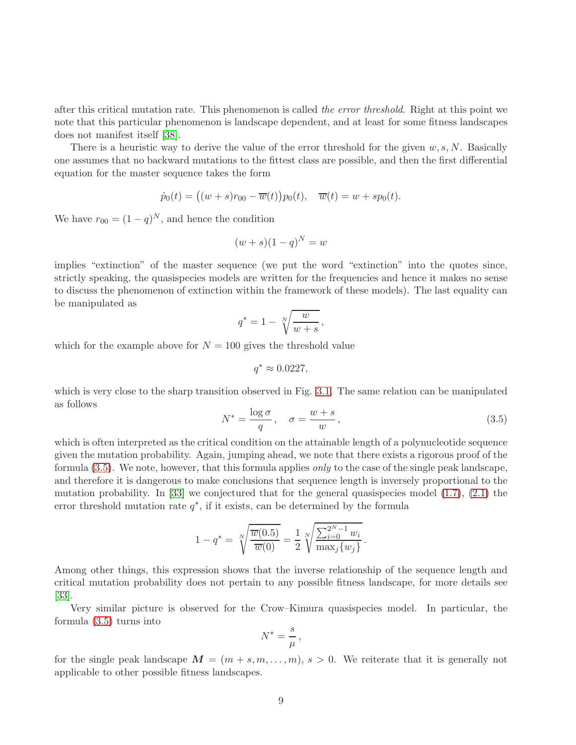after this critical mutation rate. This phenomenon is called the error threshold. Right at this point we note that this particular phenomenon is landscape dependent, and at least for some fitness landscapes does not manifest itself [\[38\]](#page-21-4).

There is a heuristic way to derive the value of the error threshold for the given  $w, s, N$ . Basically one assumes that no backward mutations to the fittest class are possible, and then the first differential equation for the master sequence takes the form

$$
\dot{p}_0(t) = ((w+s)r_{00} - \overline{w}(t))p_0(t), \quad \overline{w}(t) = w + sp_0(t).
$$

We have  $r_{00} = (1 - q)^N$ , and hence the condition

$$
(w+s)(1-q)^N = w
$$

implies "extinction" of the master sequence (we put the word "extinction" into the quotes since, strictly speaking, the quasispecies models are written for the frequencies and hence it makes no sense to discuss the phenomenon of extinction within the framework of these models). The last equality can be manipulated as

$$
q^* = 1 - \sqrt[N]{\frac{w}{w+s}},
$$

which for the example above for  $N = 100$  gives the threshold value

$$
q^*\approx 0.0227,
$$

which is very close to the sharp transition observed in Fig. [3.1.](#page-7-0) The same relation can be manipulated as follows

<span id="page-8-0"></span>
$$
N^* = \frac{\log \sigma}{q}, \quad \sigma = \frac{w+s}{w},\tag{3.5}
$$

which is often interpreted as the critical condition on the attainable length of a polynucleotide sequence given the mutation probability. Again, jumping ahead, we note that there exists a rigorous proof of the formula [\(3.5\)](#page-8-0). We note, however, that this formula applies only to the case of the single peak landscape, and therefore it is dangerous to make conclusions that sequence length is inversely proportional to the mutation probability. In  $[33]$  we conjectured that for the general quasispecies model  $(1.7)$ ,  $(2.1)$  the error threshold mutation rate  $q^*$ , if it exists, can be determined by the formula

$$
1 - q^* = \sqrt[N]{\frac{\overline{w}(0.5)}{\overline{w}(0)}} = \frac{1}{2} \sqrt[N]{\frac{\sum_{i=0}^{2^N - 1} w_i}{\max_j \{w_j\}}}.
$$

Among other things, this expression shows that the inverse relationship of the sequence length and critical mutation probability does not pertain to any possible fitness landscape, for more details see [\[33\]](#page-20-5).

Very similar picture is observed for the Crow–Kimura quasispecies model. In particular, the formula [\(3.5\)](#page-8-0) turns into

$$
N^*=\frac{s}{\mu}\,,
$$

for the single peak landscape  $\mathbf{M} = (m + s, m, \dots, m), s > 0$ . We reiterate that it is generally not applicable to other possible fitness landscapes.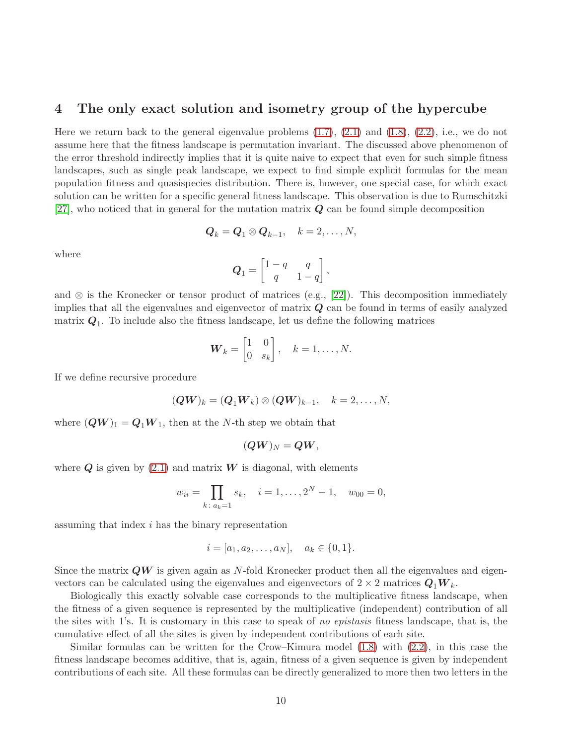#### 4 The only exact solution and isometry group of the hypercube

Here we return back to the general eigenvalue problems  $(1.7), (2.1)$  $(1.7), (2.1)$  and  $(1.8), (2.2),$  $(1.8), (2.2),$  $(1.8), (2.2),$  i.e., we do not assume here that the fitness landscape is permutation invariant. The discussed above phenomenon of the error threshold indirectly implies that it is quite naive to expect that even for such simple fitness landscapes, such as single peak landscape, we expect to find simple explicit formulas for the mean population fitness and quasispecies distribution. There is, however, one special case, for which exact solution can be written for a specific general fitness landscape. This observation is due to Rumschitzki [\[27\]](#page-20-7), who noticed that in general for the mutation matrix  $Q$  can be found simple decomposition

$$
Q_k = Q_1 \otimes Q_{k-1}, \quad k = 2, \ldots, N,
$$

where

$$
Q_1 = \begin{bmatrix} 1-q & q \\ q & 1-q \end{bmatrix},
$$

and  $\otimes$  is the Kronecker or tensor product of matrices (e.g., [\[22\]](#page-20-8)). This decomposition immediately implies that all the eigenvalues and eigenvector of matrix  $Q$  can be found in terms of easily analyzed matrix  $Q_1$ . To include also the fitness landscape, let us define the following matrices

$$
\boldsymbol{W}_k = \begin{bmatrix} 1 & 0 \\ 0 & s_k \end{bmatrix}, \quad k = 1, \dots, N.
$$

If we define recursive procedure

$$
(\boldsymbol{Q}\boldsymbol{W})_k = (\boldsymbol{Q}_1\boldsymbol{W}_k) \otimes (\boldsymbol{Q}\boldsymbol{W})_{k-1}, \quad k = 2, \ldots, N,
$$

where  $(QW)_1 = Q_1W_1$ , then at the N-th step we obtain that

$$
(\boldsymbol{Q}\boldsymbol{W})_N=\boldsymbol{Q}\boldsymbol{W},
$$

where  $Q$  is given by [\(2.1\)](#page-4-0) and matrix  $W$  is diagonal, with elements

$$
w_{ii} = \prod_{k \colon a_k = 1} s_k, \quad i = 1, \dots, 2^N - 1, \quad w_{00} = 0,
$$

assuming that index i has the binary representation

$$
i = [a_1, a_2, \dots, a_N], \quad a_k \in \{0, 1\}.
$$

Since the matrix  $QW$  is given again as N-fold Kronecker product then all the eigenvalues and eigenvectors can be calculated using the eigenvalues and eigenvectors of  $2 \times 2$  matrices  $Q_1W_k$ .

Biologically this exactly solvable case corresponds to the multiplicative fitness landscape, when the fitness of a given sequence is represented by the multiplicative (independent) contribution of all the sites with 1's. It is customary in this case to speak of no epistasis fitness landscape, that is, the cumulative effect of all the sites is given by independent contributions of each site.

Similar formulas can be written for the Crow–Kimura model [\(1.8\)](#page-3-2) with [\(2.2\)](#page-4-1), in this case the fitness landscape becomes additive, that is, again, fitness of a given sequence is given by independent contributions of each site. All these formulas can be directly generalized to more then two letters in the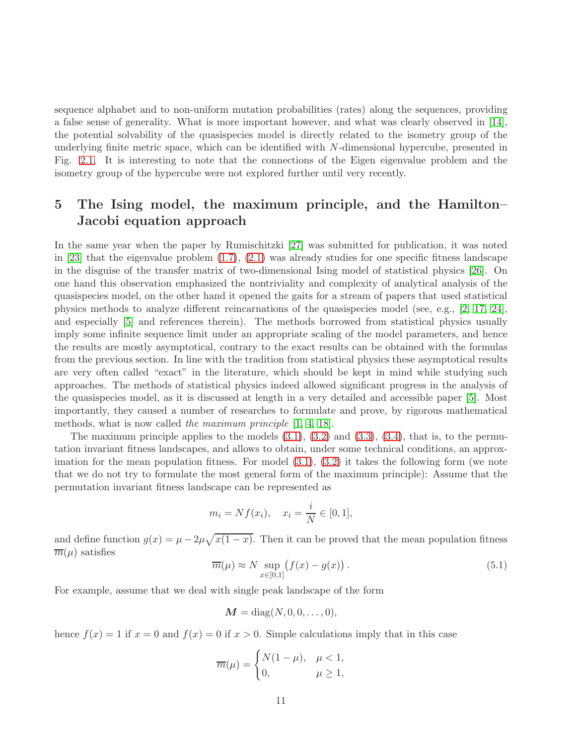sequence alphabet and to non-uniform mutation probabilities (rates) along the sequences, providing a false sense of generality. What is more important however, and what was clearly observed in [\[14\]](#page-19-8), the potential solvability of the quasispecies model is directly related to the isometry group of the underlying finite metric space, which can be identified with N-dimensional hypercube, presented in Fig. [2.1.](#page-5-0) It is interesting to note that the connections of the Eigen eigenvalue problem and the isometry group of the hypercube were not explored further until very recently.

## 5 The Ising model, the maximum principle, and the Hamilton– Jacobi equation approach

In the same year when the paper by Rumischitzki [\[27\]](#page-20-7) was submitted for publication, it was noted in  $[23]$  that the eigenvalue problem  $(1.7)$ ,  $(2.1)$  was already studies for one specific fitness landscape in the disguise of the transfer matrix of two-dimensional Ising model of statistical physics [\[26\]](#page-20-10). On one hand this observation emphasized the nontriviality and complexity of analytical analysis of the quasispecies model, on the other hand it opened the gaits for a stream of papers that used statistical physics methods to analyze different reincarnations of the quasispecies model (see, e.g., [\[2,](#page-19-9) [17,](#page-19-10) [24\]](#page-20-11), and especially [\[5\]](#page-19-11) and references therein). The methods borrowed from statistical physics usually imply some infinite sequence limit under an appropriate scaling of the model parameters, and hence the results are mostly asymptotical, contrary to the exact results can be obtained with the formulas from the previous section. In line with the tradition from statistical physics these asymptotical results are very often called "exact" in the literature, which should be kept in mind while studying such approaches. The methods of statistical physics indeed allowed significant progress in the analysis of the quasispecies model, as it is discussed at length in a very detailed and accessible paper [\[5\]](#page-19-11). Most importantly, they caused a number of researches to formulate and prove, by rigorous mathematical methods, what is now called the maximum principle [\[1,](#page-19-12) [4,](#page-19-13) [18\]](#page-20-12).

The maximum principle applies to the models  $(3.1)$ ,  $(3.2)$  and  $(3.3)$ ,  $(3.4)$ , that is, to the permutation invariant fitness landscapes, and allows to obtain, under some technical conditions, an approximation for the mean population fitness. For model  $(3.1)$ ,  $(3.2)$  it takes the following form (we note that we do not try to formulate the most general form of the maximum principle): Assume that the permutation invariant fitness landscape can be represented as

$$
m_i = Nf(x_i), \quad x_i = \frac{i}{N} \in [0, 1],
$$

and define function  $g(x) = \mu - 2\mu \sqrt{x(1-x)}$ . Then it can be proved that the mean population fitness  $\overline{m}(\mu)$  satisfies

<span id="page-10-0"></span>
$$
\overline{m}(\mu) \approx N \sup_{x \in [0,1]} (f(x) - g(x)). \tag{5.1}
$$

For example, assume that we deal with single peak landscape of the form

$$
M = \text{diag}(N, 0, 0, \dots, 0),
$$

hence  $f(x) = 1$  if  $x = 0$  and  $f(x) = 0$  if  $x > 0$ . Simple calculations imply that in this case

$$
\overline{m}(\mu) = \begin{cases} N(1-\mu), & \mu < 1, \\ 0, & \mu \ge 1, \end{cases}
$$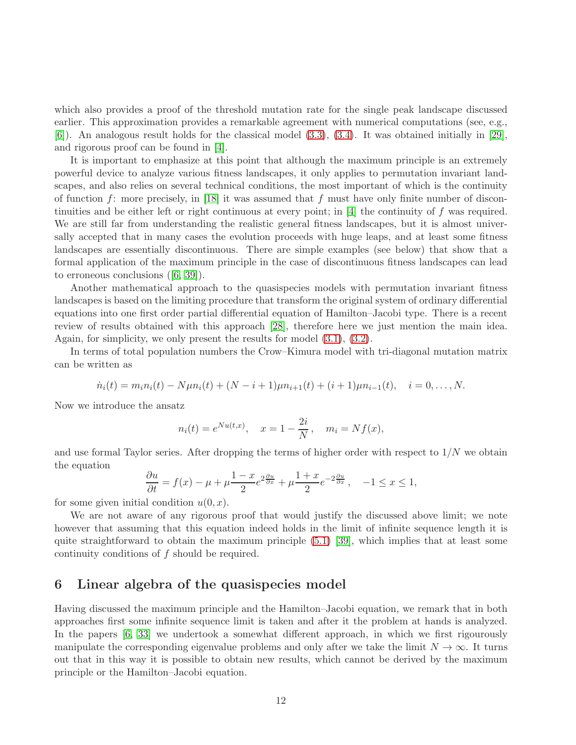which also provides a proof of the threshold mutation rate for the single peak landscape discussed earlier. This approximation provides a remarkable agreement with numerical computations (see, e.g., [\[6\]](#page-19-7)). An analogous result holds for the classical model [\(3.3\)](#page-7-1), [\(3.4\)](#page-7-2). It was obtained initially in [\[29\]](#page-20-13), and rigorous proof can be found in [\[4\]](#page-19-13).

It is important to emphasize at this point that although the maximum principle is an extremely powerful device to analyze various fitness landscapes, it only applies to permutation invariant landscapes, and also relies on several technical conditions, the most important of which is the continuity of function f: more precisely, in [\[18\]](#page-20-12) it was assumed that f must have only finite number of discon-tinuities and be either left or right continuous at every point; in [\[4\]](#page-19-13) the continuity of f was required. We are still far from understanding the realistic general fitness landscapes, but it is almost universally accepted that in many cases the evolution proceeds with huge leaps, and at least some fitness landscapes are essentially discontinuous. There are simple examples (see below) that show that a formal application of the maximum principle in the case of discontinuous fitness landscapes can lead to erroneous conclusions([\[6,](#page-19-7) [39\]](#page-21-5)).

Another mathematical approach to the quasispecies models with permutation invariant fitness landscapes is based on the limiting procedure that transform the original system of ordinary differential equations into one first order partial differential equation of Hamilton–Jacobi type. There is a recent review of results obtained with this approach [\[28\]](#page-20-14), therefore here we just mention the main idea. Again, for simplicity, we only present the results for model [\(3.1\)](#page-6-0), [\(3.2\)](#page-6-1).

In terms of total population numbers the Crow–Kimura model with tri-diagonal mutation matrix can be written as

$$
\dot{n}_i(t) = m_i n_i(t) - N \mu n_i(t) + (N - i + 1)\mu n_{i+1}(t) + (i + 1)\mu n_{i-1}(t), \quad i = 0, \dots, N.
$$

Now we introduce the ansatz

$$
n_i(t) = e^{Nu(t,x)}, \quad x = 1 - \frac{2i}{N}, \quad m_i = Nf(x),
$$

and use formal Taylor series. After dropping the terms of higher order with respect to  $1/N$  we obtain the equation

$$
\frac{\partial u}{\partial t} = f(x) - \mu + \mu \frac{1 - x}{2} e^{2\frac{\partial u}{\partial x}} + \mu \frac{1 + x}{2} e^{-2\frac{\partial u}{\partial x}}, \quad -1 \le x \le 1,
$$

for some given initial condition  $u(0, x)$ .

We are not aware of any rigorous proof that would justify the discussed above limit; we note however that assuming that this equation indeed holds in the limit of infinite sequence length it is quite straightforward to obtain the maximum principle [\(5.1\)](#page-10-0) [\[39\]](#page-21-5), which implies that at least some continuity conditions of f should be required.

#### 6 Linear algebra of the quasispecies model

Having discussed the maximum principle and the Hamilton–Jacobi equation, we remark that in both approaches first some infinite sequence limit is taken and after it the problem at hands is analyzed. In the papers [\[6,](#page-19-7) [33\]](#page-20-5) we undertook a somewhat different approach, in which we first rigourously manipulate the corresponding eigenvalue problems and only after we take the limit  $N \to \infty$ . It turns out that in this way it is possible to obtain new results, which cannot be derived by the maximum principle or the Hamilton–Jacobi equation.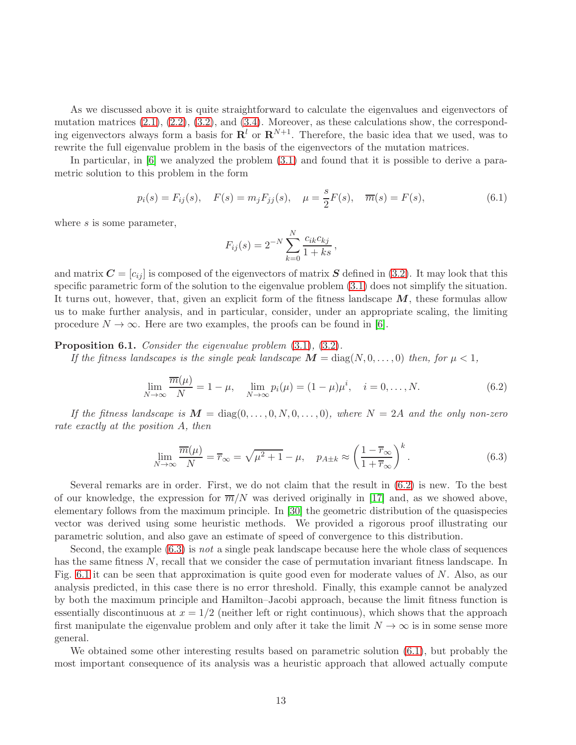As we discussed above it is quite straightforward to calculate the eigenvalues and eigenvectors of mutation matrices  $(2.1), (2.2), (3.2),$  $(2.1), (2.2), (3.2),$  $(2.1), (2.2), (3.2),$  $(2.1), (2.2), (3.2),$  $(2.1), (2.2), (3.2),$  and  $(3.4).$  Moreover, as these calculations show, the corresponding eigenvectors always form a basis for  $\mathbf{R}^l$  or  $\mathbf{R}^{N+1}$ . Therefore, the basic idea that we used, was to rewrite the full eigenvalue problem in the basis of the eigenvectors of the mutation matrices.

In particular, in [\[6\]](#page-19-7) we analyzed the problem [\(3.1\)](#page-6-0) and found that it is possible to derive a parametric solution to this problem in the form

<span id="page-12-2"></span>
$$
p_i(s) = F_{ij}(s)
$$
,  $F(s) = m_j F_{jj}(s)$ ,  $\mu = \frac{s}{2} F(s)$ ,  $\overline{m}(s) = F(s)$ , (6.1)

where s is some parameter,

$$
F_{ij}(s) = 2^{-N} \sum_{k=0}^{N} \frac{c_{ik}c_{kj}}{1+ks},
$$

and matrix  $\mathbf{C} = [c_{ij}]$  is composed of the eigenvectors of matrix  $\mathbf{S}$  defined in [\(3.2\)](#page-6-1). It may look that this specific parametric form of the solution to the eigenvalue problem [\(3.1\)](#page-6-0) does not simplify the situation. It turns out, however, that, given an explicit form of the fitness landscape  $M$ , these formulas allow us to make further analysis, and in particular, consider, under an appropriate scaling, the limiting procedure  $N \to \infty$ . Here are two examples, the proofs can be found in [\[6\]](#page-19-7).

Proposition 6.1. Consider the eigenvalue problem  $(3.1)$ ,  $(3.2)$ .

If the fitness landscapes is the single peak landscape  $M = \text{diag}(N, 0, \ldots, 0)$  then, for  $\mu < 1$ ,

<span id="page-12-0"></span>
$$
\lim_{N \to \infty} \frac{\overline{m}(\mu)}{N} = 1 - \mu, \quad \lim_{N \to \infty} p_i(\mu) = (1 - \mu)\mu^i, \quad i = 0, \dots, N. \tag{6.2}
$$

If the fitness landscape is  $M = \text{diag}(0, \ldots, 0, N, 0, \ldots, 0)$ , where  $N = 2A$  and the only non-zero rate exactly at the position A, then

<span id="page-12-1"></span>
$$
\lim_{N \to \infty} \frac{\overline{m}(\mu)}{N} = \overline{r}_{\infty} = \sqrt{\mu^2 + 1} - \mu, \quad p_{A \pm k} \approx \left(\frac{1 - \overline{r}_{\infty}}{1 + \overline{r}_{\infty}}\right)^k.
$$
\n(6.3)

Several remarks are in order. First, we do not claim that the result in [\(6.2\)](#page-12-0) is new. To the best of our knowledge, the expression for  $\overline{m}/N$  was derived originally in [\[17\]](#page-19-10) and, as we showed above, elementary follows from the maximum principle. In [\[30\]](#page-20-15) the geometric distribution of the quasispecies vector was derived using some heuristic methods. We provided a rigorous proof illustrating our parametric solution, and also gave an estimate of speed of convergence to this distribution.

Second, the example  $(6.3)$  is not a single peak landscape because here the whole class of sequences has the same fitness N, recall that we consider the case of permutation invariant fitness landscape. In Fig. [6.1](#page-13-0) it can be seen that approximation is quite good even for moderate values of  $N$ . Also, as our analysis predicted, in this case there is no error threshold. Finally, this example cannot be analyzed by both the maximum principle and Hamilton–Jacobi approach, because the limit fitness function is essentially discontinuous at  $x = 1/2$  (neither left or right continuous), which shows that the approach first manipulate the eigenvalue problem and only after it take the limit  $N \to \infty$  is in some sense more general.

We obtained some other interesting results based on parametric solution [\(6.1\)](#page-12-2), but probably the most important consequence of its analysis was a heuristic approach that allowed actually compute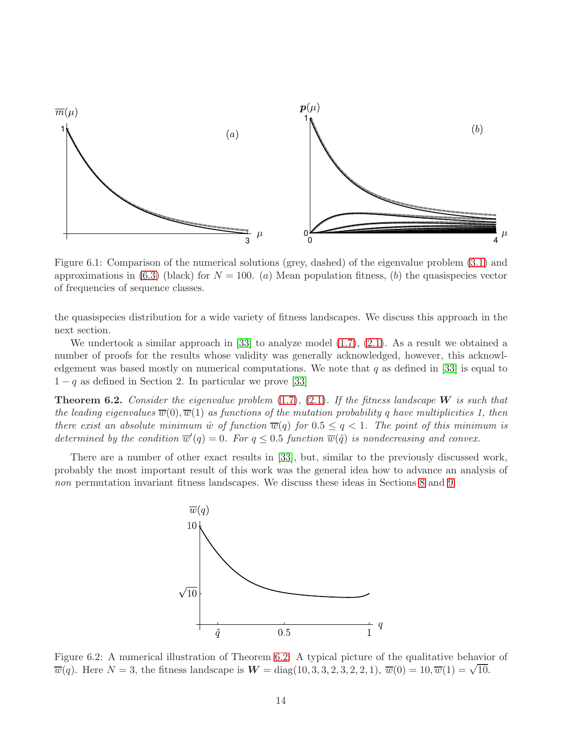

<span id="page-13-0"></span>Figure 6.1: Comparison of the numerical solutions (grey, dashed) of the eigenvalue problem [\(3.1\)](#page-6-0) and approximations in [\(6.3\)](#page-12-1) (black) for  $N = 100$ . (a) Mean population fitness, (b) the quasispecies vector of frequencies of sequence classes.

the quasispecies distribution for a wide variety of fitness landscapes. We discuss this approach in the next section.

We undertook a similar approach in [\[33\]](#page-20-5) to analyze model [\(1.7\)](#page-3-1), [\(2.1\)](#page-4-0). As a result we obtained a number of proofs for the results whose validity was generally acknowledged, however, this acknowledgement was based mostly on numerical computations. We note that  $q$  as defined in [\[33\]](#page-20-5) is equal to  $1 - q$  as defined in Section 2. In particular we prove [\[33\]](#page-20-5)

<span id="page-13-1"></span>**Theorem 6.2.** Consider the eigenvalue problem  $(1.7)$ ,  $(2.1)$ . If the fitness landscape W is such that the leading eigenvalues  $\overline{w}(0), \overline{w}(1)$  as functions of the mutation probability q have multiplicities 1, then there exist an absolute minimum  $\hat{w}$  of function  $\overline{w}(q)$  for  $0.5 \leq q < 1$ . The point of this minimum is determined by the condition  $\overline{w}'(q) = 0$ . For  $q \leq 0.5$  function  $\overline{w}(\hat{q})$  is nondecreasing and convex.

There are a number of other exact results in [\[33\]](#page-20-5), but, similar to the previously discussed work, probably the most important result of this work was the general idea how to advance an analysis of non permutation invariant fitness landscapes. We discuss these ideas in Sections [8](#page-15-0) and [9.](#page-16-0)



Figure 6.2: A numerical illustration of Theorem [6.2:](#page-13-1) A typical picture of the qualitative behavior of  $\overline{w}(q)$ . Here  $N = 3$ , the fitness landscape is  $W = \text{diag}(10, 3, 3, 2, 3, 2, 2, 1)$ ,  $\overline{w}(0) = 10, \overline{w}(1) = \sqrt{10}$ .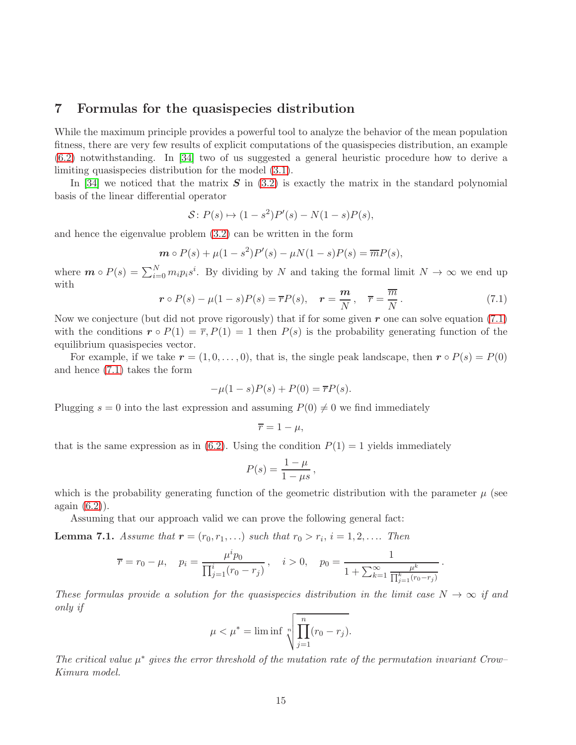#### <span id="page-14-2"></span>7 Formulas for the quasispecies distribution

While the maximum principle provides a powerful tool to analyze the behavior of the mean population fitness, there are very few results of explicit computations of the quasispecies distribution, an example [\(6.2\)](#page-12-0) notwithstanding. In [\[34\]](#page-21-1) two of us suggested a general heuristic procedure how to derive a limiting quasispecies distribution for the model [\(3.1\)](#page-6-0).

In [\[34\]](#page-21-1) we noticed that the matrix  $S$  in [\(3.2\)](#page-6-1) is exactly the matrix in the standard polynomial basis of the linear differential operator

$$
S: P(s) \mapsto (1 - s^2)P'(s) - N(1 - s)P(s),
$$

and hence the eigenvalue problem [\(3.2\)](#page-6-1) can be written in the form

$$
\mathbf{m} \circ P(s) + \mu(1 - s^2)P'(s) - \mu N(1 - s)P(s) = \overline{m}P(s),
$$

where  $\mathbf{m} \circ P(s) = \sum_{i=0}^{N} m_i p_i s^i$ . By dividing by N and taking the formal limit  $N \to \infty$  we end up with

<span id="page-14-0"></span>
$$
\boldsymbol{r} \circ P(s) - \mu(1-s)P(s) = \overline{r}P(s), \quad \boldsymbol{r} = \frac{m}{N}, \quad \overline{r} = \frac{\overline{m}}{N}.
$$
 (7.1)

Now we conjecture (but did not prove rigorously) that if for some given  $r$  one can solve equation [\(7.1\)](#page-14-0) with the conditions  $r \circ P(1) = \overline{r}, P(1) = 1$  then  $P(s)$  is the probability generating function of the equilibrium quasispecies vector.

For example, if we take  $r = (1, 0, \ldots, 0)$ , that is, the single peak landscape, then  $r \circ P(s) = P(0)$ and hence [\(7.1\)](#page-14-0) takes the form

$$
-\mu(1 - s)P(s) + P(0) = \overline{r}P(s).
$$

Plugging  $s = 0$  into the last expression and assuming  $P(0) \neq 0$  we find immediately

$$
\overline{r}=1-\mu,
$$

that is the same expression as in [\(6.2\)](#page-12-0). Using the condition  $P(1) = 1$  yields immediately

$$
P(s) = \frac{1 - \mu}{1 - \mu s},
$$

which is the probability generating function of the geometric distribution with the parameter  $\mu$  (see again [\(6.2\)](#page-12-0)).

Assuming that our approach valid we can prove the following general fact:

<span id="page-14-1"></span>**Lemma 7.1.** Assume that  $r = (r_0, r_1, ...)$  such that  $r_0 > r_i$ ,  $i = 1, 2, ....$  Then

$$
\overline{r} = r_0 - \mu, \quad p_i = \frac{\mu^i p_0}{\prod_{j=1}^i (r_0 - r_j)}, \quad i > 0, \quad p_0 = \frac{1}{1 + \sum_{k=1}^\infty \frac{\mu^k}{\prod_{j=1}^k (r_0 - r_j)}}.
$$

These formulas provide a solution for the quasispecies distribution in the limit case  $N \to \infty$  if and only if

$$
\mu < \mu^* = \liminf \sqrt[n]{\prod_{j=1}^n (r_0 - r_j)}.
$$

The critical value  $\mu^*$  gives the error threshold of the mutation rate of the permutation invariant Crow– Kimura model.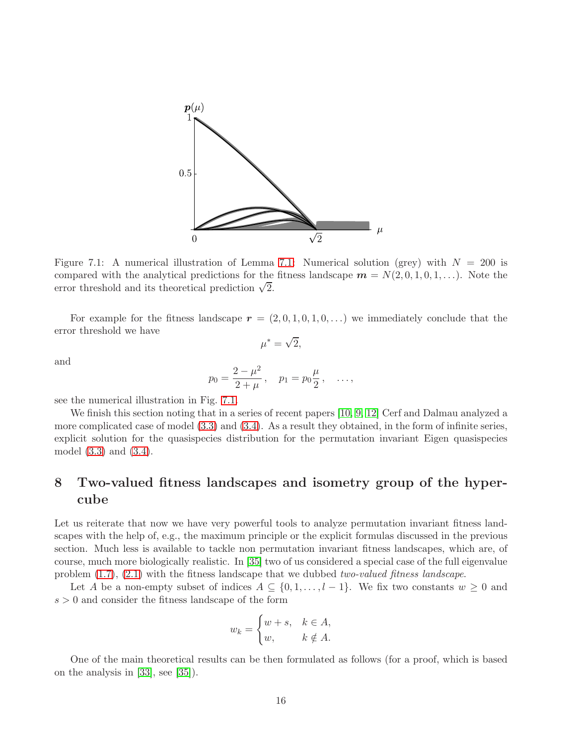

<span id="page-15-1"></span>Figure [7.1:](#page-14-1) A numerical illustration of Lemma 7.1: Numerical solution (grey) with  $N = 200$  is compared with the analytical predictions for the fitness landscape  $m = N(2, 0, 1, 0, 1, \ldots)$ . Note the error threshold and its theoretical prediction  $\sqrt{2}$ .

For example for the fitness landscape  $r = (2, 0, 1, 0, 1, 0, ...)$  we immediately conclude that the error threshold we have

$$
\mu^* = \sqrt{2},
$$

and

$$
p_0 = \frac{2 - \mu^2}{2 + \mu}
$$
,  $p_1 = p_0 \frac{\mu}{2}$ , ...,

see the numerical illustration in Fig. [7.1.](#page-15-1)

We finish this section noting that in a series of recent papers [\[10,](#page-19-14) [9,](#page-19-15) [12\]](#page-19-16) Cerf and Dalmau analyzed a more complicated case of model [\(3.3\)](#page-7-1) and [\(3.4\)](#page-7-2). As a result they obtained, in the form of infinite series, explicit solution for the quasispecies distribution for the permutation invariant Eigen quasispecies model [\(3.3\)](#page-7-1) and [\(3.4\)](#page-7-2).

## <span id="page-15-0"></span>8 Two-valued fitness landscapes and isometry group of the hypercube

Let us reiterate that now we have very powerful tools to analyze permutation invariant fitness landscapes with the help of, e.g., the maximum principle or the explicit formulas discussed in the previous section. Much less is available to tackle non permutation invariant fitness landscapes, which are, of course, much more biologically realistic. In [\[35\]](#page-21-0) two of us considered a special case of the full eigenvalue problem [\(1.7\)](#page-3-1), [\(2.1\)](#page-4-0) with the fitness landscape that we dubbed two-valued fitness landscape.

Let A be a non-empty subset of indices  $A \subseteq \{0, 1, \ldots, l-1\}$ . We fix two constants  $w \geq 0$  and  $s>0$  and consider the fitness landscape of the form

$$
w_k = \begin{cases} w+s, & k \in A, \\ w, & k \notin A. \end{cases}
$$

One of the main theoretical results can be then formulated as follows (for a proof, which is based on the analysis in [\[33\]](#page-20-5), see [\[35\]](#page-21-0)).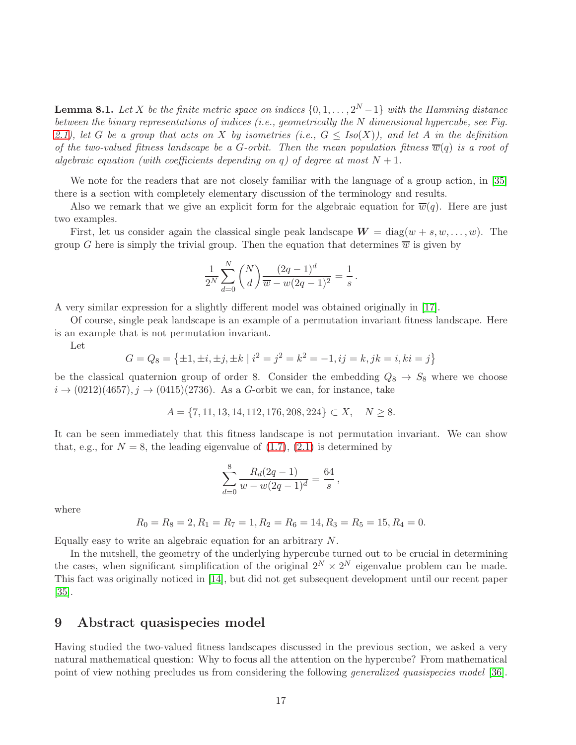**Lemma 8.1.** Let X be the finite metric space on indices  $\{0, 1, \ldots, 2^N-1\}$  with the Hamming distance between the binary representations of indices (i.e., geometrically the N dimensional hypercube, see Fig. [2.1\)](#page-5-0), let G be a group that acts on X by isometries (i.e.,  $G \leq Iso(X)$ ), and let A in the definition of the two-valued fitness landscape be a G-orbit. Then the mean population fitness  $\overline{w}(q)$  is a root of algebraic equation (with coefficients depending on q) of degree at most  $N + 1$ .

We note for the readers that are not closely familiar with the language of a group action, in [\[35\]](#page-21-0) there is a section with completely elementary discussion of the terminology and results.

Also we remark that we give an explicit form for the algebraic equation for  $\overline{w}(q)$ . Here are just two examples.

First, let us consider again the classical single peak landscape  $W = diag(w + s, w, \dots, w)$ . The group G here is simply the trivial group. Then the equation that determines  $\overline{w}$  is given by

$$
\frac{1}{2^{N}}\sum_{d=0}^{N} {N \choose d} \frac{(2q-1)^{d}}{\overline{w} - w(2q-1)^{2}} = \frac{1}{s}.
$$

A very similar expression for a slightly different model was obtained originally in [\[17\]](#page-19-10).

Of course, single peak landscape is an example of a permutation invariant fitness landscape. Here is an example that is not permutation invariant.

Let

$$
G = Q_8 = \{ \pm 1, \pm i, \pm j, \pm k \mid i^2 = j^2 = k^2 = -1, ij = k, jk = i, ki = j \}
$$

be the classical quaternion group of order 8. Consider the embedding  $Q_8 \rightarrow S_8$  where we choose  $i \to (0212)(4657), j \to (0415)(2736)$ . As a G-orbit we can, for instance, take

$$
A = \{7, 11, 13, 14, 112, 176, 208, 224\} \subset X, \quad N \ge 8.
$$

It can be seen immediately that this fitness landscape is not permutation invariant. We can show that, e.g., for  $N = 8$ , the leading eigenvalue of  $(1.7)$ ,  $(2.1)$  is determined by

$$
\sum_{d=0}^{8} \frac{R_d(2q-1)}{\overline{w} - w(2q-1)^d} = \frac{64}{s},
$$

where

$$
R_0 = R_8 = 2, R_1 = R_7 = 1, R_2 = R_6 = 14, R_3 = R_5 = 15, R_4 = 0.
$$

Equally easy to write an algebraic equation for an arbitrary N.

In the nutshell, the geometry of the underlying hypercube turned out to be crucial in determining the cases, when significant simplification of the original  $2^N \times 2^N$  eigenvalue problem can be made. This fact was originally noticed in [\[14\]](#page-19-8), but did not get subsequent development until our recent paper [\[35\]](#page-21-0).

#### <span id="page-16-0"></span>9 Abstract quasispecies model

Having studied the two-valued fitness landscapes discussed in the previous section, we asked a very natural mathematical question: Why to focus all the attention on the hypercube? From mathematical point of view nothing precludes us from considering the following generalized quasispecies model [\[36\]](#page-21-2).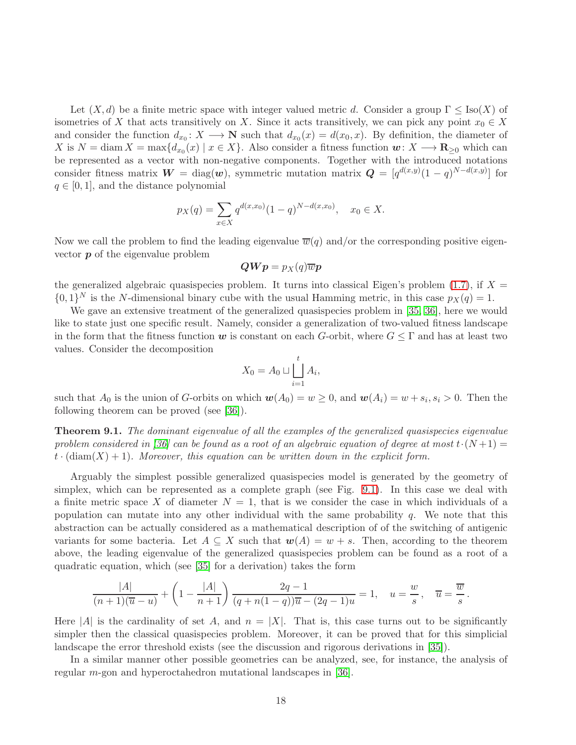Let  $(X, d)$  be a finite metric space with integer valued metric d. Consider a group  $\Gamma \leq \text{Iso}(X)$  of isometries of X that acts transitively on X. Since it acts transitively, we can pick any point  $x_0 \in X$ and consider the function  $d_{x_0}: X \longrightarrow \mathbb{N}$  such that  $d_{x_0}(x) = d(x_0, x)$ . By definition, the diameter of X is  $N = \text{diam } X = \max\{d_{x_0}(x) \mid x \in X\}$ . Also consider a fitness function  $\mathbf{w}: X \longrightarrow \mathbf{R}_{\geq 0}$  which can be represented as a vector with non-negative components. Together with the introduced notations consider fitness matrix  $\mathbf{W} = \text{diag}(\mathbf{w})$ , symmetric mutation matrix  $\mathbf{Q} = [q^{d(x,y)}(1-q)^{N-d(x,y)}]$  for  $q \in [0, 1]$ , and the distance polynomial

$$
p_X(q) = \sum_{x \in X} q^{d(x, x_0)} (1 - q)^{N - d(x, x_0)}, \quad x_0 \in X.
$$

Now we call the problem to find the leading eigenvalue  $\overline{w}(q)$  and/or the corresponding positive eigenvector p of the eigenvalue problem

$$
\bm{Q}\bm{W}\bm{p}=p_X(q)\overline{w}\bm{p}
$$

the generalized algebraic quasispecies problem. It turns into classical Eigen's problem [\(1.7\)](#page-3-1), if  $X =$  $\{0,1\}^N$  is the N-dimensional binary cube with the usual Hamming metric, in this case  $p_X(q) = 1$ .

We gave an extensive treatment of the generalized quasispecies problem in [\[35,](#page-21-0) [36\]](#page-21-2), here we would like to state just one specific result. Namely, consider a generalization of two-valued fitness landscape in the form that the fitness function w is constant on each G-orbit, where  $G \leq \Gamma$  and has at least two values. Consider the decomposition

$$
X_0 = A_0 \sqcup \bigsqcup_{i=1}^t A_i,
$$

such that  $A_0$  is the union of G-orbits on which  $w(A_0) = w \ge 0$ , and  $w(A_i) = w + s_i$ ,  $s_i > 0$ . Then the following theorem can be proved (see [\[36\]](#page-21-2)).

**Theorem 9.1.** The dominant eigenvalue of all the examples of the generalized quasispecies eigenvalue problem considered in [\[36\]](#page-21-2) can be found as a root of an algebraic equation of degree at most  $t \cdot (N+1) =$  $t \cdot (\text{diam}(X) + 1)$ . Moreover, this equation can be written down in the explicit form.

Arguably the simplest possible generalized quasispecies model is generated by the geometry of simplex, which can be represented as a complete graph (see Fig. [9.1\)](#page-18-0). In this case we deal with a finite metric space X of diameter  $N = 1$ , that is we consider the case in which individuals of a population can mutate into any other individual with the same probability  $q$ . We note that this abstraction can be actually considered as a mathematical description of of the switching of antigenic variants for some bacteria. Let  $A \subseteq X$  such that  $w(A) = w + s$ . Then, according to the theorem above, the leading eigenvalue of the generalized quasispecies problem can be found as a root of a quadratic equation, which (see [\[35\]](#page-21-0) for a derivation) takes the form

$$
\frac{|A|}{(n+1)(\overline{u}-u)} + \left(1 - \frac{|A|}{n+1}\right) \frac{2q-1}{(q+n(1-q))\overline{u} - (2q-1)u} = 1, \quad u = \frac{w}{s}, \quad \overline{u} = \frac{\overline{w}}{s}.
$$

Here |A| is the cardinality of set A, and  $n = |X|$ . That is, this case turns out to be significantly simpler then the classical quasispecies problem. Moreover, it can be proved that for this simplicial landscape the error threshold exists (see the discussion and rigorous derivations in [\[35\]](#page-21-0)).

In a similar manner other possible geometries can be analyzed, see, for instance, the analysis of regular m-gon and hyperoctahedron mutational landscapes in [\[36\]](#page-21-2).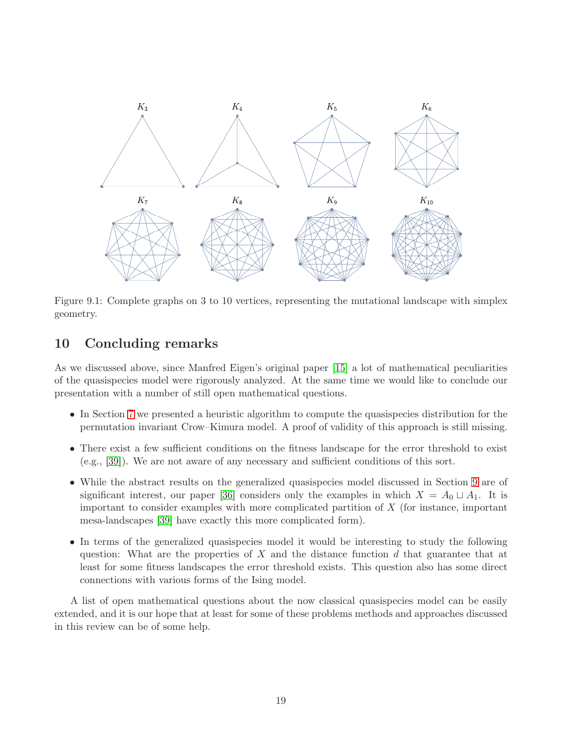

<span id="page-18-0"></span>Figure 9.1: Complete graphs on 3 to 10 vertices, representing the mutational landscape with simplex geometry.

### 10 Concluding remarks

As we discussed above, since Manfred Eigen's original paper [\[15\]](#page-19-0) a lot of mathematical peculiarities of the quasispecies model were rigorously analyzed. At the same time we would like to conclude our presentation with a number of still open mathematical questions.

- In Section [7](#page-14-2) we presented a heuristic algorithm to compute the quasispecies distribution for the permutation invariant Crow–Kimura model. A proof of validity of this approach is still missing.
- There exist a few sufficient conditions on the fitness landscape for the error threshold to exist (e.g., [\[39\]](#page-21-5)). We are not aware of any necessary and sufficient conditions of this sort.
- While the abstract results on the generalized quasispecies model discussed in Section [9](#page-16-0) are of significant interest, our paper [\[36\]](#page-21-2) considers only the examples in which  $X = A_0 \sqcup A_1$ . It is important to consider examples with more complicated partition of  $X$  (for instance, important mesa-landscapes [\[39\]](#page-21-5) have exactly this more complicated form).
- In terms of the generalized quasispecies model it would be interesting to study the following question: What are the properties of X and the distance function d that guarantee that at least for some fitness landscapes the error threshold exists. This question also has some direct connections with various forms of the Ising model.

A list of open mathematical questions about the now classical quasispecies model can be easily extended, and it is our hope that at least for some of these problems methods and approaches discussed in this review can be of some help.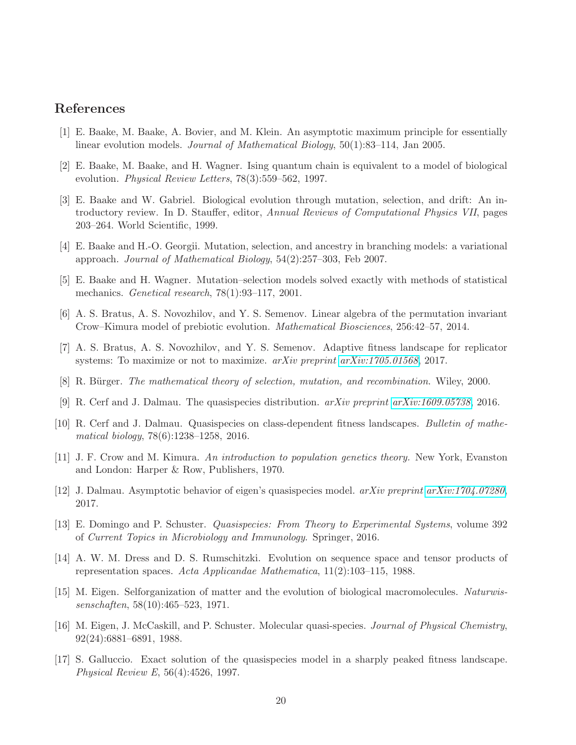### <span id="page-19-12"></span>References

- <span id="page-19-9"></span>[1] E. Baake, M. Baake, A. Bovier, and M. Klein. An asymptotic maximum principle for essentially linear evolution models. Journal of Mathematical Biology, 50(1):83–114, Jan 2005.
- <span id="page-19-1"></span>[2] E. Baake, M. Baake, and H. Wagner. Ising quantum chain is equivalent to a model of biological evolution. Physical Review Letters, 78(3):559–562, 1997.
- [3] E. Baake and W. Gabriel. Biological evolution through mutation, selection, and drift: An introductory review. In D. Stauffer, editor, Annual Reviews of Computational Physics VII, pages 203–264. World Scientific, 1999.
- <span id="page-19-13"></span><span id="page-19-11"></span>[4] E. Baake and H.-O. Georgii. Mutation, selection, and ancestry in branching models: a variational approach. Journal of Mathematical Biology, 54(2):257–303, Feb 2007.
- <span id="page-19-7"></span>[5] E. Baake and H. Wagner. Mutation–selection models solved exactly with methods of statistical mechanics. Genetical research,  $78(1):93-117$ ,  $2001$ .
- <span id="page-19-6"></span>[6] A. S. Bratus, A. S. Novozhilov, and Y. S. Semenov. Linear algebra of the permutation invariant Crow–Kimura model of prebiotic evolution. Mathematical Biosciences, 256:42–57, 2014.
- <span id="page-19-4"></span>[7] A. S. Bratus, A. S. Novozhilov, and Y. S. Semenov. Adaptive fitness landscape for replicator systems: To maximize or not to maximize. arXiv preprint [arXiv:1705.01568](http://arxiv.org/abs/1705.01568), 2017.
- <span id="page-19-15"></span>[8] R. Bürger. The mathematical theory of selection, mutation, and recombination. Wiley, 2000.
- <span id="page-19-14"></span>[9] R. Cerf and J. Dalmau. The quasispecies distribution. arXiv preprint [arXiv:1609.05738](http://arxiv.org/abs/1609.05738), 2016.
- <span id="page-19-5"></span>[10] R. Cerf and J. Dalmau. Quasispecies on class-dependent fitness landscapes. Bulletin of mathematical biology, 78(6):1238–1258, 2016.
- <span id="page-19-16"></span>[11] J. F. Crow and M. Kimura. An introduction to population genetics theory. New York, Evanston and London: Harper & Row, Publishers, 1970.
- <span id="page-19-3"></span>[12] J. Dalmau. Asymptotic behavior of eigen's quasispecies model. arXiv preprint [arXiv:1704.07280](http://arxiv.org/abs/1704.07280), 2017.
- [13] E. Domingo and P. Schuster. Quasispecies: From Theory to Experimental Systems, volume 392 of Current Topics in Microbiology and Immunology. Springer, 2016.
- <span id="page-19-8"></span>[14] A. W. M. Dress and D. S. Rumschitzki. Evolution on sequence space and tensor products of representation spaces. Acta Applicandae Mathematica, 11(2):103–115, 1988.
- <span id="page-19-0"></span>[15] M. Eigen. Selforganization of matter and the evolution of biological macromolecules. Naturwissenschaften, 58(10):465–523, 1971.
- <span id="page-19-2"></span>[16] M. Eigen, J. McCaskill, and P. Schuster. Molecular quasi-species. Journal of Physical Chemistry, 92(24):6881–6891, 1988.
- <span id="page-19-10"></span>[17] S. Galluccio. Exact solution of the quasispecies model in a sharply peaked fitness landscape. Physical Review E, 56(4):4526, 1997.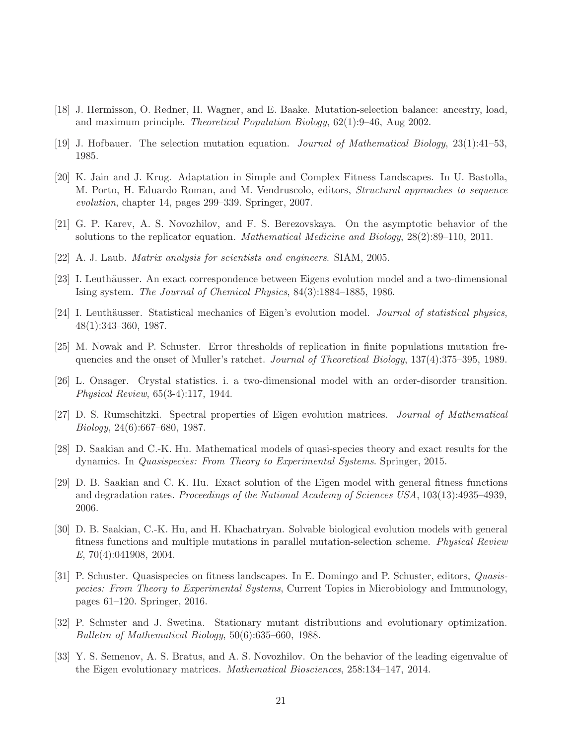- <span id="page-20-12"></span><span id="page-20-3"></span>[18] J. Hermisson, O. Redner, H. Wagner, and E. Baake. Mutation-selection balance: ancestry, load, and maximum principle. Theoretical Population Biology, 62(1):9–46, Aug 2002.
- <span id="page-20-0"></span>[19] J. Hofbauer. The selection mutation equation. Journal of Mathematical Biology, 23(1):41–53, 1985.
- [20] K. Jain and J. Krug. Adaptation in Simple and Complex Fitness Landscapes. In U. Bastolla, M. Porto, H. Eduardo Roman, and M. Vendruscolo, editors, Structural approaches to sequence evolution, chapter 14, pages 299–339. Springer, 2007.
- <span id="page-20-8"></span><span id="page-20-2"></span>[21] G. P. Karev, A. S. Novozhilov, and F. S. Berezovskaya. On the asymptotic behavior of the solutions to the replicator equation. Mathematical Medicine and Biology, 28(2):89–110, 2011.
- <span id="page-20-9"></span>[22] A. J. Laub. Matrix analysis for scientists and engineers. SIAM, 2005.
- <span id="page-20-11"></span>[23] I. Leuthäusser. An exact correspondence between Eigens evolution model and a two-dimensional Ising system. The Journal of Chemical Physics, 84(3):1884–1885, 1986.
- <span id="page-20-6"></span>[24] I. Leuthäusser. Statistical mechanics of Eigen's evolution model. *Journal of statistical physics*, 48(1):343–360, 1987.
- [25] M. Nowak and P. Schuster. Error thresholds of replication in finite populations mutation frequencies and the onset of Muller's ratchet. Journal of Theoretical Biology, 137(4):375–395, 1989.
- <span id="page-20-10"></span>[26] L. Onsager. Crystal statistics. i. a two-dimensional model with an order-disorder transition. Physical Review, 65(3-4):117, 1944.
- <span id="page-20-14"></span><span id="page-20-7"></span>[27] D. S. Rumschitzki. Spectral properties of Eigen evolution matrices. Journal of Mathematical Biology, 24(6):667–680, 1987.
- <span id="page-20-13"></span>[28] D. Saakian and C.-K. Hu. Mathematical models of quasi-species theory and exact results for the dynamics. In Quasispecies: From Theory to Experimental Systems. Springer, 2015.
- [29] D. B. Saakian and C. K. Hu. Exact solution of the Eigen model with general fitness functions and degradation rates. Proceedings of the National Academy of Sciences USA, 103(13):4935–4939, 2006.
- <span id="page-20-15"></span>[30] D. B. Saakian, C.-K. Hu, and H. Khachatryan. Solvable biological evolution models with general fitness functions and multiple mutations in parallel mutation-selection scheme. Physical Review E, 70(4):041908, 2004.
- <span id="page-20-1"></span>[31] P. Schuster. Quasispecies on fitness landscapes. In E. Domingo and P. Schuster, editors, Quasispecies: From Theory to Experimental Systems, Current Topics in Microbiology and Immunology, pages 61–120. Springer, 2016.
- <span id="page-20-4"></span>[32] P. Schuster and J. Swetina. Stationary mutant distributions and evolutionary optimization. Bulletin of Mathematical Biology, 50(6):635–660, 1988.
- <span id="page-20-5"></span>[33] Y. S. Semenov, A. S. Bratus, and A. S. Novozhilov. On the behavior of the leading eigenvalue of the Eigen evolutionary matrices. Mathematical Biosciences, 258:134–147, 2014.